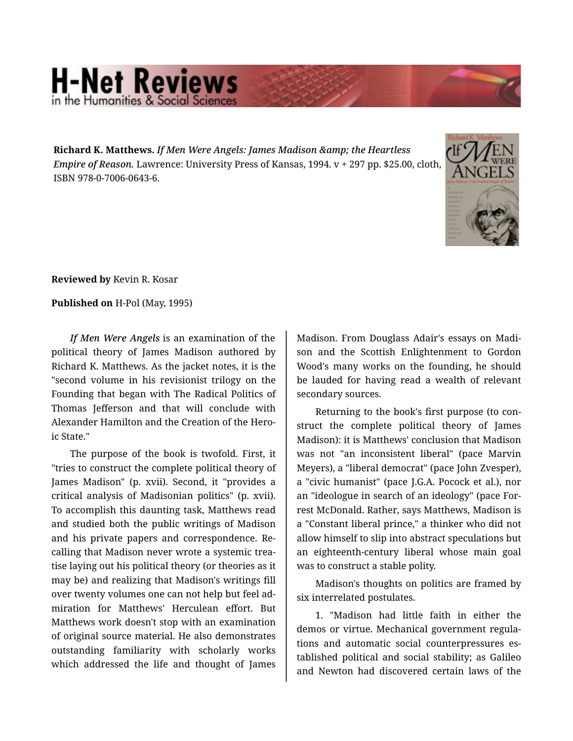## **H-Net Reviews** in the Humanities & Social S

**Richard K. Matthews.** *If Men Were Angels: James Madison & the Heartless Empire of Reason.* Lawrence: University Press of Kansas, 1994. v + 297 pp. \$25.00, cloth, ISBN 978-0-7006-0643-6.



**Reviewed by** Kevin R. Kosar

## **Published on** H-Pol (May, 1995)

*If Men Were Angels* is an examination of the political theory of James Madison authored by Richard K. Matthews. As the jacket notes, it is the "second volume in his revisionist trilogy on the Founding that began with The Radical Politics of Thomas Jefferson and that will conclude with Alexander Hamilton and the Creation of the Hero‐ ic State."

The purpose of the book is twofold. First, it "tries to construct the complete political theory of James Madison" (p. xvii). Second, it "provides a critical analysis of Madisonian politics" (p. xvii). To accomplish this daunting task, Matthews read and studied both the public writings of Madison and his private papers and correspondence. Re‐ calling that Madison never wrote a systemic trea‐ tise laying out his political theory (or theories as it may be) and realizing that Madison's writings fill over twenty volumes one can not help but feel ad‐ miration for Matthews' Herculean effort. But Matthews work doesn't stop with an examination of original source material. He also demonstrates outstanding familiarity with scholarly works which addressed the life and thought of James

Madison. From Douglass Adair's essays on Madi‐ son and the Scottish Enlightenment to Gordon Wood's many works on the founding, he should be lauded for having read a wealth of relevant secondary sources.

Returning to the book's first purpose (to con‐ struct the complete political theory of James Madison): it is Matthews' conclusion that Madison was not "an inconsistent liberal" (pace Marvin Meyers), a "liberal democrat" (pace John Zvesper), a "civic humanist" (pace J.G.A. Pocock et al.), nor an "ideologue in search of an ideology" (pace For‐ rest McDonald. Rather, says Matthews, Madison is a "Constant liberal prince," a thinker who did not allow himself to slip into abstract speculations but an eighteenth-century liberal whose main goal was to construct a stable polity.

Madison's thoughts on politics are framed by six interrelated postulates.

1. "Madison had little faith in either the demos or virtue. Mechanical government regula‐ tions and automatic social counterpressures es‐ tablished political and social stability; as Galileo and Newton had discovered certain laws of the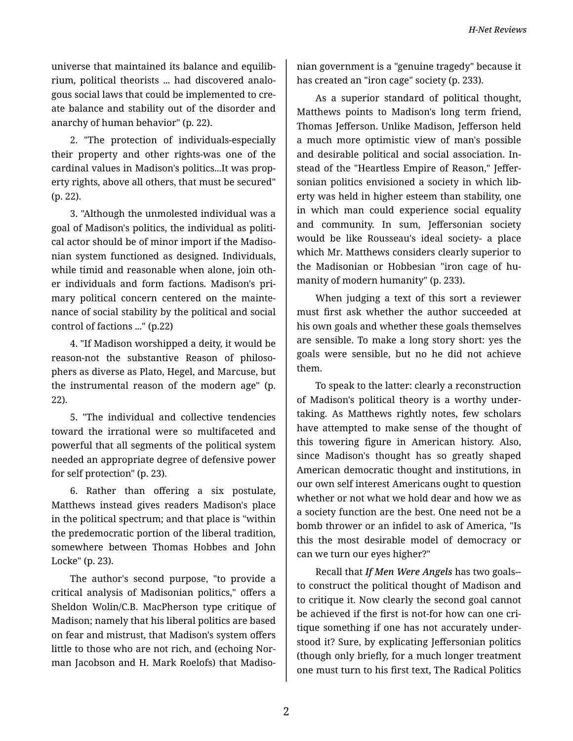universe that maintained its balance and equilib‐ rium, political theorists ... had discovered analo‐ gous social laws that could be implemented to cre‐ ate balance and stability out of the disorder and anarchy of human behavior" (p. 22).

2. "The protection of individuals-especially their property and other rights-was one of the cardinal values in Madison's politics...It was prop‐ erty rights, above all others, that must be secured" (p. 22).

3. "Although the unmolested individual was a goal of Madison's politics, the individual as politi‐ cal actor should be of minor import if the Madiso‐ nian system functioned as designed. Individuals, while timid and reasonable when alone, join oth‐ er individuals and form factions. Madison's pri‐ mary political concern centered on the mainte‐ nance of social stability by the political and social control of factions ..." (p.22)

4. "If Madison worshipped a deity, it would be reason-not the substantive Reason of philosophers as diverse as Plato, Hegel, and Marcuse, but the instrumental reason of the modern age" (p. 22).

5. "The individual and collective tendencies toward the irrational were so multifaceted and powerful that all segments of the political system needed an appropriate degree of defensive power for self protection" (p. 23).

6. Rather than offering a six postulate, Matthews instead gives readers Madison's place in the political spectrum; and that place is "within the predemocratic portion of the liberal tradition, somewhere between Thomas Hobbes and John Locke" (p. 23).

The author's second purpose, "to provide a critical analysis of Madisonian politics," offers a Sheldon Wolin/C.B. MacPherson type critique of Madison; namely that his liberal politics are based on fear and mistrust, that Madison's system offers little to those who are not rich, and (echoing Nor‐ man Jacobson and H. Mark Roelofs) that Madiso‐

nian government is a "genuine tragedy" because it has created an "iron cage" society (p. 233).

As a superior standard of political thought, Matthews points to Madison's long term friend, Thomas Jefferson. Unlike Madison, Jefferson held a much more optimistic view of man's possible and desirable political and social association. In‐ stead of the "Heartless Empire of Reason," Jeffer‐ sonian politics envisioned a society in which lib‐ erty was held in higher esteem than stability, one in which man could experience social equality and community. In sum, Jeffersonian society would be like Rousseau's ideal society- a place which Mr. Matthews considers clearly superior to the Madisonian or Hobbesian "iron cage of hu‐ manity of modern humanity" (p. 233).

When judging a text of this sort a reviewer must first ask whether the author succeeded at his own goals and whether these goals themselves are sensible. To make a long story short: yes the goals were sensible, but no he did not achieve them.

To speak to the latter: clearly a reconstruction of Madison's political theory is a worthy under‐ taking. As Matthews rightly notes, few scholars have attempted to make sense of the thought of this towering figure in American history. Also, since Madison's thought has so greatly shaped American democratic thought and institutions, in our own self interest Americans ought to question whether or not what we hold dear and how we as a society function are the best. One need not be a bomb thrower or an infidel to ask of America, "Is this the most desirable model of democracy or can we turn our eyes higher?"

Recall that *If Men Were Angels* has two goals- to construct the political thought of Madison and to critique it. Now clearly the second goal cannot be achieved if the first is not-for how can one cri‐ tique something if one has not accurately under‐ stood it? Sure, by explicating Jeffersonian politics (though only briefly, for a much longer treatment one must turn to his first text, The Radical Politics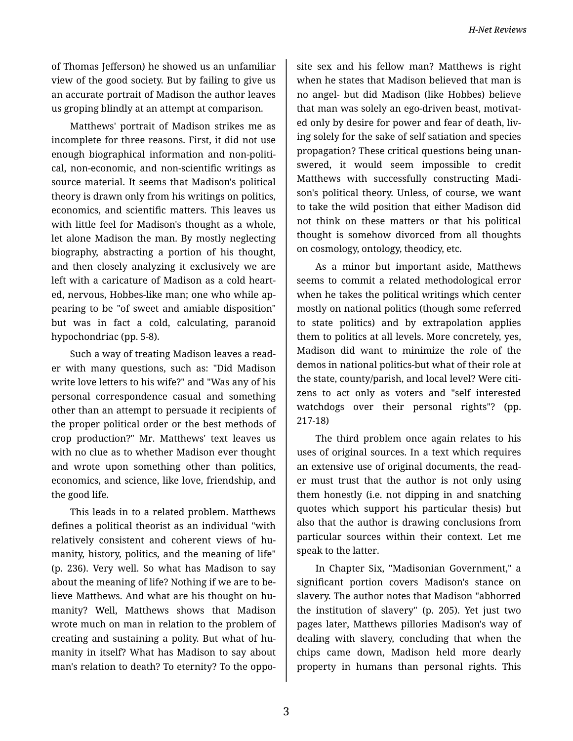of Thomas Jefferson) he showed us an unfamiliar view of the good society. But by failing to give us an accurate portrait of Madison the author leaves us groping blindly at an attempt at comparison.

Matthews' portrait of Madison strikes me as incomplete for three reasons. First, it did not use enough biographical information and non-politi‐ cal, non-economic, and non-scientific writings as source material. It seems that Madison's political theory is drawn only from his writings on politics, economics, and scientific matters. This leaves us with little feel for Madison's thought as a whole, let alone Madison the man. By mostly neglecting biography, abstracting a portion of his thought, and then closely analyzing it exclusively we are left with a caricature of Madison as a cold heart‐ ed, nervous, Hobbes-like man; one who while ap‐ pearing to be "of sweet and amiable disposition" but was in fact a cold, calculating, paranoid hypochondriac (pp. 5-8).

Such a way of treating Madison leaves a read‐ er with many questions, such as: "Did Madison write love letters to his wife?" and "Was any of his personal correspondence casual and something other than an attempt to persuade it recipients of the proper political order or the best methods of crop production?" Mr. Matthews' text leaves us with no clue as to whether Madison ever thought and wrote upon something other than politics, economics, and science, like love, friendship, and the good life.

This leads in to a related problem. Matthews defines a political theorist as an individual "with relatively consistent and coherent views of hu‐ manity, history, politics, and the meaning of life" (p. 236). Very well. So what has Madison to say about the meaning of life? Nothing if we are to be‐ lieve Matthews. And what are his thought on hu‐ manity? Well, Matthews shows that Madison wrote much on man in relation to the problem of creating and sustaining a polity. But what of hu‐ manity in itself? What has Madison to say about man's relation to death? To eternity? To the oppo‐

site sex and his fellow man? Matthews is right when he states that Madison believed that man is no angel- but did Madison (like Hobbes) believe that man was solely an ego-driven beast, motivat‐ ed only by desire for power and fear of death, liv‐ ing solely for the sake of self satiation and species propagation? These critical questions being unan‐ swered, it would seem impossible to credit Matthews with successfully constructing Madi‐ son's political theory. Unless, of course, we want to take the wild position that either Madison did not think on these matters or that his political thought is somehow divorced from all thoughts on cosmology, ontology, theodicy, etc.

As a minor but important aside, Matthews seems to commit a related methodological error when he takes the political writings which center mostly on national politics (though some referred to state politics) and by extrapolation applies them to politics at all levels. More concretely, yes, Madison did want to minimize the role of the demos in national politics-but what of their role at the state, county/parish, and local level? Were citi‐ zens to act only as voters and "self interested watchdogs over their personal rights"? (pp. 217-18)

The third problem once again relates to his uses of original sources. In a text which requires an extensive use of original documents, the read‐ er must trust that the author is not only using them honestly (i.e. not dipping in and snatching quotes which support his particular thesis) but also that the author is drawing conclusions from particular sources within their context. Let me speak to the latter.

In Chapter Six, "Madisonian Government," a significant portion covers Madison's stance on slavery. The author notes that Madison "abhorred the institution of slavery" (p. 205). Yet just two pages later, Matthews pillories Madison's way of dealing with slavery, concluding that when the chips came down, Madison held more dearly property in humans than personal rights. This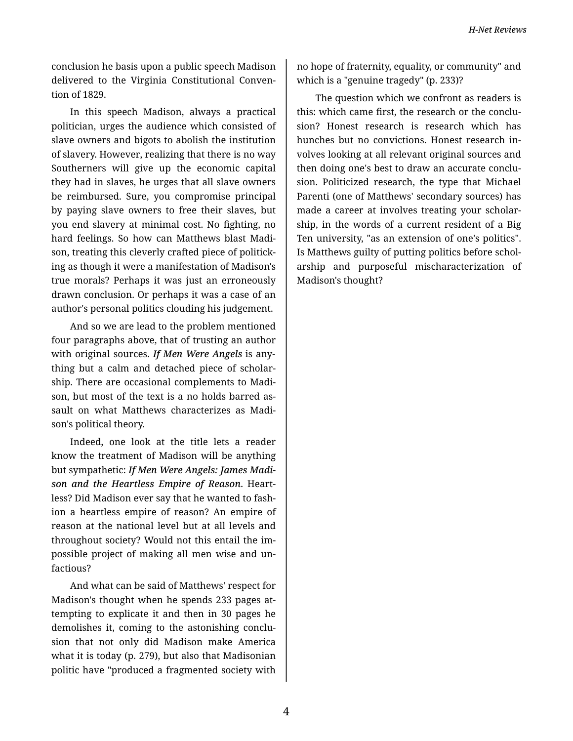conclusion he basis upon a public speech Madison delivered to the Virginia Constitutional Conven‐ tion of 1829.

In this speech Madison, always a practical politician, urges the audience which consisted of slave owners and bigots to abolish the institution of slavery. However, realizing that there is no way Southerners will give up the economic capital they had in slaves, he urges that all slave owners be reimbursed. Sure, you compromise principal by paying slave owners to free their slaves, but you end slavery at minimal cost. No fighting, no hard feelings. So how can Matthews blast Madi‐ son, treating this cleverly crafted piece of politick‐ ing as though it were a manifestation of Madison's true morals? Perhaps it was just an erroneously drawn conclusion. Or perhaps it was a case of an author's personal politics clouding his judgement.

And so we are lead to the problem mentioned four paragraphs above, that of trusting an author with original sources. *If Men Were Angels* is any‐ thing but a calm and detached piece of scholar‐ ship. There are occasional complements to Madi‐ son, but most of the text is a no holds barred as‐ sault on what Matthews characterizes as Madi‐ son's political theory.

Indeed, one look at the title lets a reader know the treatment of Madison will be anything but sympathetic: *If Men Were Angels: James Madi‐ son and the Heartless Empire of Reason*. Heart‐ less? Did Madison ever say that he wanted to fash‐ ion a heartless empire of reason? An empire of reason at the national level but at all levels and throughout society? Would not this entail the im‐ possible project of making all men wise and un‐ factious?

And what can be said of Matthews' respect for Madison's thought when he spends 233 pages at‐ tempting to explicate it and then in 30 pages he demolishes it, coming to the astonishing conclu‐ sion that not only did Madison make America what it is today (p. 279), but also that Madisonian politic have "produced a fragmented society with

no hope of fraternity, equality, or community" and which is a "genuine tragedy" (p. 233)?

The question which we confront as readers is this: which came first, the research or the conclu‐ sion? Honest research is research which has hunches but no convictions. Honest research in‐ volves looking at all relevant original sources and then doing one's best to draw an accurate conclu‐ sion. Politicized research, the type that Michael Parenti (one of Matthews' secondary sources) has made a career at involves treating your scholar‐ ship, in the words of a current resident of a Big Ten university, "as an extension of one's politics". Is Matthews guilty of putting politics before schol‐ arship and purposeful mischaracterization of Madison's thought?